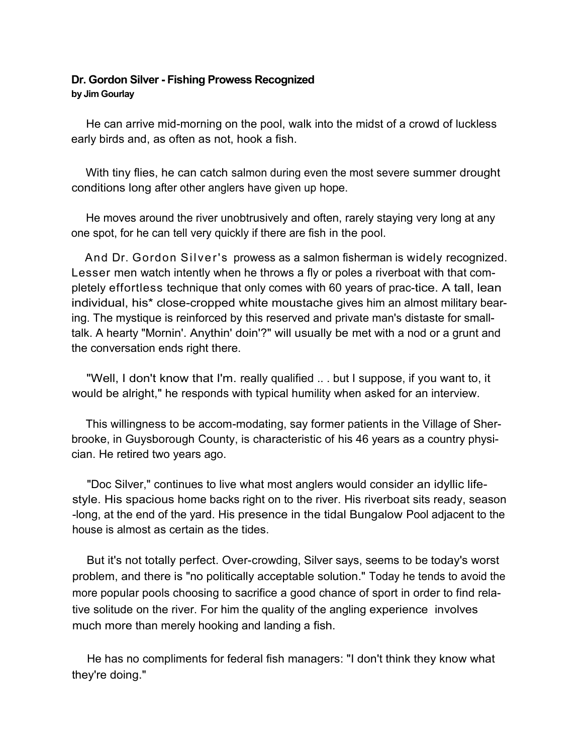## **Dr. Gordon Silver - Fishing Prowess Recognized by Jim Gourlay**

He can arrive mid-morning on the pool, walk into the midst of a crowd of luckless early birds and, as often as not, hook a fish.

With tiny flies, he can catch salmon during even the most severe summer drought conditions long after other anglers have given up hope.

He moves around the river unobtrusively and often, rarely staying very long at any one spot, for he can tell very quickly if there are fish in the pool.

And Dr. Gordon Silver's prowess as a salmon fisherman is widely recognized. Lesser men watch intently when he throws a fly or poles a riverboat with that completely effortless technique that only comes with 60 years of prac-tice. A tall, lean individual, his\* close-cropped white moustache gives him an almost military bearing. The mystique is reinforced by this reserved and private man's distaste for smalltalk. A hearty "Mornin'. Anythin' doin'?" will usually be met with a nod or a grunt and the conversation ends right there.

"Well, I don't know that I'm. really qualified .. . but I suppose, if you want to, it would be alright," he responds with typical humility when asked for an interview.

This willingness to be accom-modating, say former patients in the Village of Sherbrooke, in Guysborough County, is characteristic of his 46 years as a country physician. He retired two years ago.

"Doc Silver," continues to live what most anglers would consider an idyllic lifestyle. His spacious home backs right on to the river. His riverboat sits ready, season -long, at the end of the yard. His presence in the tidal Bungalow Pool adjacent to the house is almost as certain as the tides.

But it's not totally perfect. Over-crowding, Silver says, seems to be today's worst problem, and there is "no politically acceptable solution." Today he tends to avoid the more popular pools choosing to sacrifice a good chance of sport in order to find relative solitude on the river. For him the quality of the angling experience involves much more than merely hooking and landing a fish.

He has no compliments for federal fish managers: "I don't think they know what they're doing."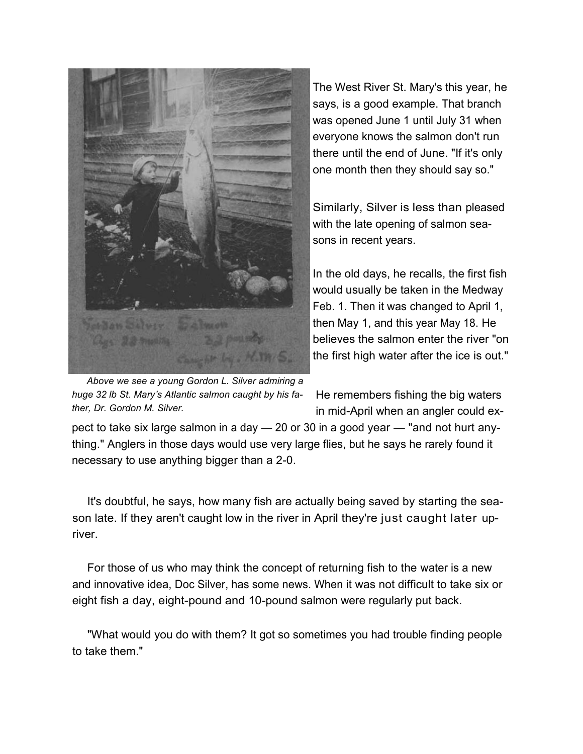

The West River St. Mary's this year, he says, is a good example. That branch was opened June 1 until July 31 when everyone knows the salmon don't run there until the end of June. "If it's only one month then they should say so."

Similarly, Silver is less than pleased with the late opening of salmon seasons in recent years.

In the old days, he recalls, the first fish would usually be taken in the Medway Feb. 1. Then it was changed to April 1, then May 1, and this year May 18. He believes the salmon enter the river "on the first high water after the ice is out."

*Above we see a young Gordon L. Silver admiring a huge 32 lb St. Mary's Atlantic salmon caught by his father, Dr. Gordon M. Silver.* 

He remembers fishing the big waters in mid-April when an angler could ex-

pect to take six large salmon in a day — 20 or 30 in a good year — "and not hurt anything." Anglers in those days would use very large flies, but he says he rarely found it necessary to use anything bigger than a 2-0.

It's doubtful, he says, how many fish are actually being saved by starting the season late. If they aren't caught low in the river in April they're just caught later upriver.

For those of us who may think the concept of returning fish to the water is a new and innovative idea, Doc Silver, has some news. When it was not difficult to take six or eight fish a day, eight-pound and 10-pound salmon were regularly put back.

"What would you do with them? It got so sometimes you had trouble finding people to take them."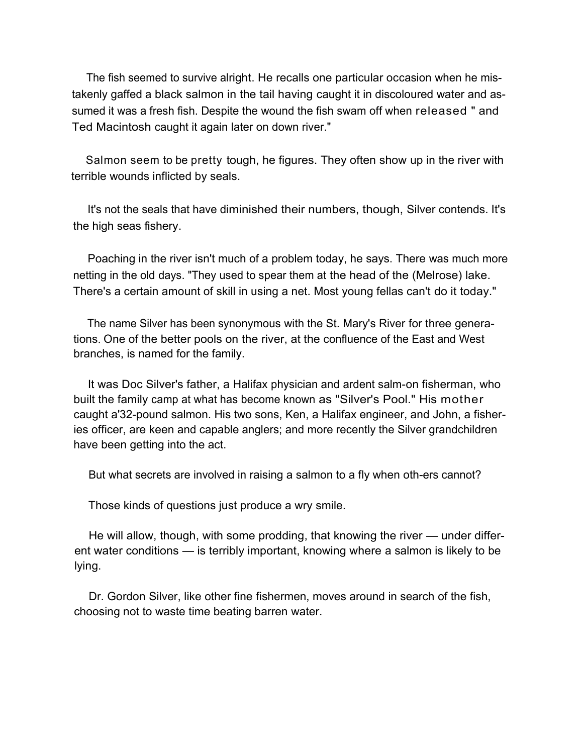The fish seemed to survive alright. He recalls one particular occasion when he mistakenly gaffed a black salmon in the tail having caught it in discoloured water and assumed it was a fresh fish. Despite the wound the fish swam off when released " and Ted Macintosh caught it again later on down river."

Salmon seem to be pretty tough, he figures. They often show up in the river with terrible wounds inflicted by seals.

It's not the seals that have diminished their numbers, though, Silver contends. It's the high seas fishery.

Poaching in the river isn't much of a problem today, he says. There was much more netting in the old days. "They used to spear them at the head of the (Melrose) lake. There's a certain amount of skill in using a net. Most young fellas can't do it today."

The name Silver has been synonymous with the St. Mary's River for three generations. One of the better pools on the river, at the confluence of the East and West branches, is named for the family.

It was Doc Silver's father, a Halifax physician and ardent salm-on fisherman, who built the family camp at what has become known as "Silver's Pool." His mother caught a'32-pound salmon. His two sons, Ken, a Halifax engineer, and John, a fisheries officer, are keen and capable anglers; and more recently the Silver grandchildren have been getting into the act.

But what secrets are involved in raising a salmon to a fly when oth-ers cannot?

Those kinds of questions just produce a wry smile.

He will allow, though, with some prodding, that knowing the river — under different water conditions — is terribly important, knowing where a salmon is likely to be lying.

Dr. Gordon Silver, like other fine fishermen, moves around in search of the fish, choosing not to waste time beating barren water.